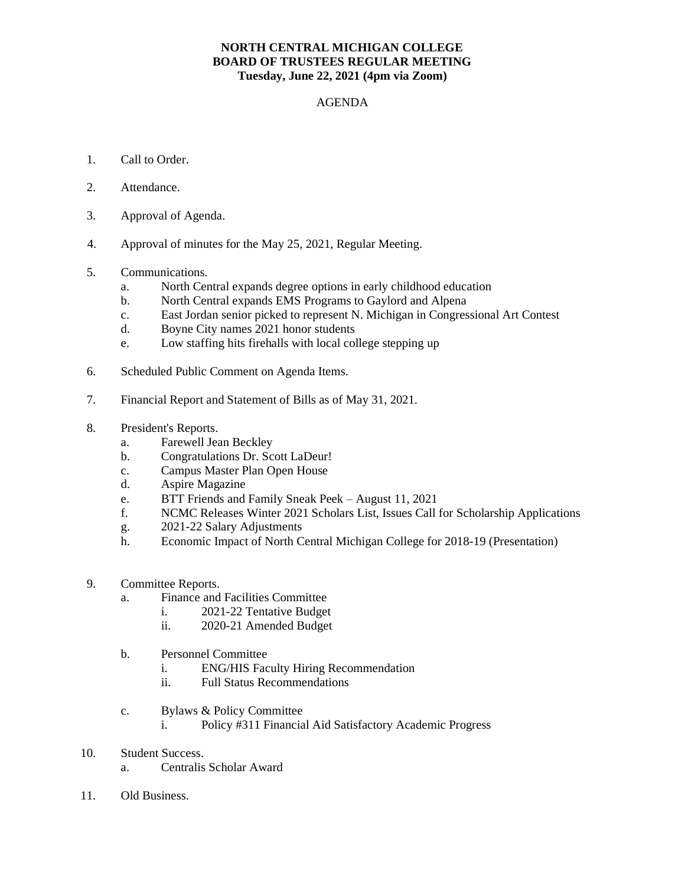## **NORTH CENTRAL MICHIGAN COLLEGE BOARD OF TRUSTEES REGULAR MEETING Tuesday, June 22, 2021 (4pm via Zoom)**

## AGENDA

- 1. Call to Order.
- 2. Attendance.
- 3. Approval of Agenda.
- 4. Approval of minutes for the May 25, 2021, Regular Meeting.
- 5. Communications.
	- a. North Central expands degree options in early childhood education
	- b. North Central expands EMS Programs to Gaylord and Alpena
	- c. East Jordan senior picked to represent N. Michigan in Congressional Art Contest
	- d. Boyne City names 2021 honor students
	- e. Low staffing hits firehalls with local college stepping up
- 6. Scheduled Public Comment on Agenda Items.
- 7. Financial Report and Statement of Bills as of May 31, 2021.
- 8. President's Reports.
	- a. Farewell Jean Beckley
	- b. Congratulations Dr. Scott LaDeur!
	- c. Campus Master Plan Open House
	- d. Aspire Magazine
	- e. BTT Friends and Family Sneak Peek August 11, 2021
	- f. NCMC Releases Winter 2021 Scholars List, Issues Call for Scholarship Applications
	- g. 2021-22 Salary Adjustments
	- h. Economic Impact of North Central Michigan College for 2018-19 (Presentation)
- 9. Committee Reports.
	- a. Finance and Facilities Committee
		- i. 2021-22 Tentative Budget
		- ii. 2020-21 Amended Budget
	- b. Personnel Committee
		- i. ENG/HIS Faculty Hiring Recommendation
		- ii. Full Status Recommendations
	- c. Bylaws & Policy Committee
		- i. Policy #311 Financial Aid Satisfactory Academic Progress
- 10. Student Success.
	- a. Centralis Scholar Award
- 11. Old Business.